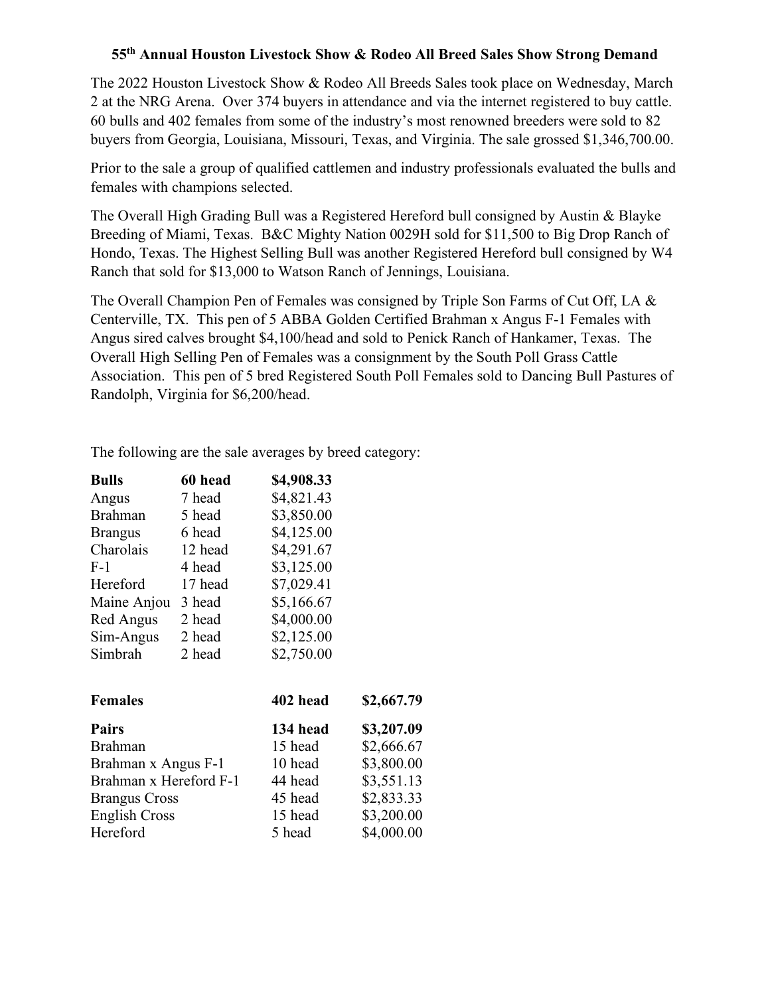## **55th Annual Houston Livestock Show & Rodeo All Breed Sales Show Strong Demand**

The 2022 Houston Livestock Show & Rodeo All Breeds Sales took place on Wednesday, March 2 at the NRG Arena. Over 374 buyers in attendance and via the internet registered to buy cattle. 60 bulls and 402 females from some of the industry's most renowned breeders were sold to 82 buyers from Georgia, Louisiana, Missouri, Texas, and Virginia. The sale grossed \$1,346,700.00.

Prior to the sale a group of qualified cattlemen and industry professionals evaluated the bulls and females with champions selected.

The Overall High Grading Bull was a Registered Hereford bull consigned by Austin & Blayke Breeding of Miami, Texas. B&C Mighty Nation 0029H sold for \$11,500 to Big Drop Ranch of Hondo, Texas. The Highest Selling Bull was another Registered Hereford bull consigned by W4 Ranch that sold for \$13,000 to Watson Ranch of Jennings, Louisiana.

The Overall Champion Pen of Females was consigned by Triple Son Farms of Cut Off, LA & Centerville, TX. This pen of 5 ABBA Golden Certified Brahman x Angus F-1 Females with Angus sired calves brought \$4,100/head and sold to Penick Ranch of Hankamer, Texas. The Overall High Selling Pen of Females was a consignment by the South Poll Grass Cattle Association. This pen of 5 bred Registered South Poll Females sold to Dancing Bull Pastures of Randolph, Virginia for \$6,200/head.

The following are the sale averages by breed category:

| <b>Bulls</b>   | 60 head | \$4,908.33 |
|----------------|---------|------------|
| Angus          | 7 head  | \$4,821.43 |
| <b>Brahman</b> | 5 head  | \$3,850.00 |
| <b>Brangus</b> | 6 head  | \$4,125.00 |
| Charolais      | 12 head | \$4,291.67 |
| $F-1$          | 4 head  | \$3,125.00 |
| Hereford       | 17 head | \$7,029.41 |
| Maine Anjou    | 3 head  | \$5,166.67 |
| Red Angus      | 2 head  | \$4,000.00 |
| Sim-Angus      | 2 head  | \$2,125.00 |
| Simbrah        | 2 head  | \$2,750.00 |

| <b>Females</b>         | 402 head | \$2,667.79 |
|------------------------|----------|------------|
| <b>Pairs</b>           | 134 head | \$3,207.09 |
| <b>Brahman</b>         | 15 head  | \$2,666.67 |
| Brahman x Angus F-1    | 10 head  | \$3,800.00 |
| Brahman x Hereford F-1 | 44 head  | \$3,551.13 |
| <b>Brangus Cross</b>   | 45 head  | \$2,833.33 |
| <b>English Cross</b>   | 15 head  | \$3,200.00 |
| Hereford               | 5 head   | \$4,000.00 |